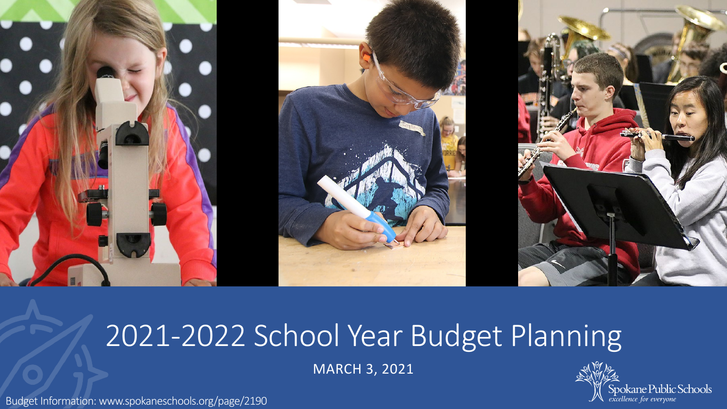

## 2021-2022 School Year Budget Planning

MARCH 3, 2021

Budget Information: www.spokaneschools.org/page/2190

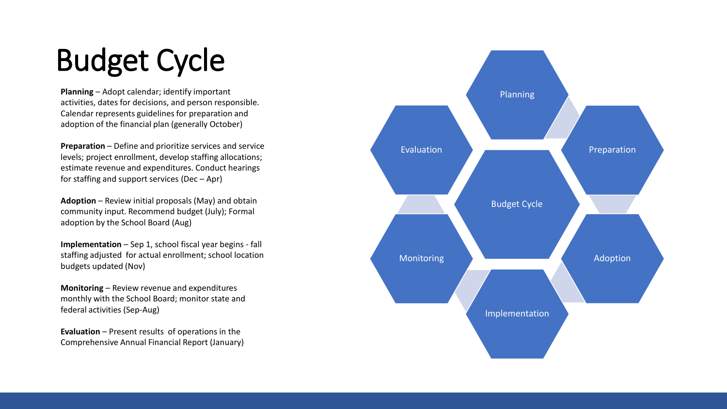# Budget Cycle

**Planning** – Adopt calendar; identify important activities, dates for decisions, and person responsible. Calendar represents guidelines for preparation and adoption of the financial plan (generally October)

**Preparation**  – Define and prioritize services and service levels; project enrollment, develop staffing allocations; estimate revenue and expenditures. Conduct hearings for staffing and support services (Dec – Apr)

**Adoption**  – Review initial proposals (May) and obtain community input. Recommend budget (July); Formal adoption by the School Board (Aug)

**Implementation**  – Sep 1, school fiscal year begins - fall staffing adjusted for actual enrollment; school location budgets updated (Nov)

**Monitoring**  – Review revenue and expenditures monthly with the School Board; monitor state and federal activities (Sep -Aug)

**Evaluation** – Present results of operations in the Comprehensive Annual Financial Report (January)

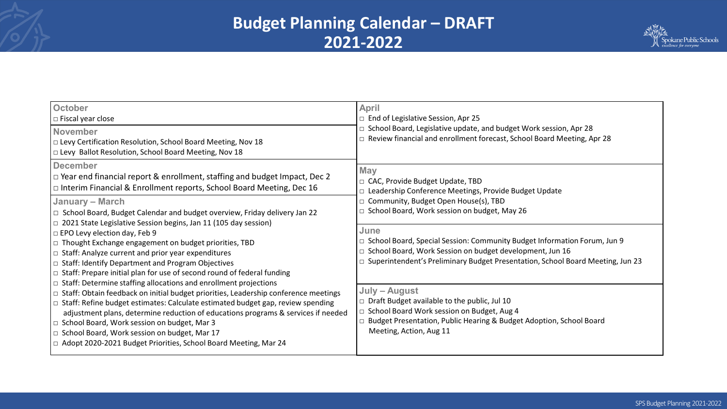### **Budget Planning Calendar – DRAFT 2021-2022**



| <b>October</b><br>$\Box$ Fiscal year close<br><b>November</b><br>□ Levy Certification Resolution, School Board Meeting, Nov 18<br>□ Levy Ballot Resolution, School Board Meeting, Nov 18                                                                                                                                                                                                                                                                                                                                     | <b>April</b><br>$\Box$ End of Legislative Session, Apr 25<br>□ School Board, Legislative update, and budget Work session, Apr 28<br>□ Review financial and enrollment forecast, School Board Meeting, Apr 28                         |
|------------------------------------------------------------------------------------------------------------------------------------------------------------------------------------------------------------------------------------------------------------------------------------------------------------------------------------------------------------------------------------------------------------------------------------------------------------------------------------------------------------------------------|--------------------------------------------------------------------------------------------------------------------------------------------------------------------------------------------------------------------------------------|
| <b>December</b><br>$\Box$ Year end financial report & enrollment, staffing and budget Impact, Dec 2<br>$\Box$ Interim Financial & Enrollment reports, School Board Meeting, Dec 16                                                                                                                                                                                                                                                                                                                                           | <b>May</b><br>□ CAC, Provide Budget Update, TBD<br>Leadership Conference Meetings, Provide Budget Update                                                                                                                             |
| <b>January – March</b><br>□ School Board, Budget Calendar and budget overview, Friday delivery Jan 22<br>$\Box$ 2021 State Legislative Session begins, Jan 11 (105 day session)                                                                                                                                                                                                                                                                                                                                              | Community, Budget Open House(s), TBD<br>School Board, Work session on budget, May 26                                                                                                                                                 |
| □ EPO Levy election day, Feb 9<br>□ Thought Exchange engagement on budget priorities, TBD<br>$\Box$ Staff: Analyze current and prior year expenditures<br>□ Staff: Identify Department and Program Objectives<br>$\Box$ Staff: Prepare initial plan for use of second round of federal funding                                                                                                                                                                                                                               | June<br>□ School Board, Special Session: Community Budget Information Forum, Jun 9<br>□ School Board, Work Session on budget development, Jun 16<br>□ Superintendent's Preliminary Budget Presentation, School Board Meeting, Jun 23 |
| $\Box$ Staff: Determine staffing allocations and enrollment projections<br>$\Box$ Staff: Obtain feedback on initial budget priorities, Leadership conference meetings<br>$\Box$ Staff: Refine budget estimates: Calculate estimated budget gap, review spending<br>adjustment plans, determine reduction of educations programs & services if needed<br>□ School Board, Work session on budget, Mar 3<br>□ School Board, Work session on budget, Mar 17<br>□ Adopt 2020-2021 Budget Priorities, School Board Meeting, Mar 24 | July - August<br>$\Box$ Draft Budget available to the public, Jul 10<br>□ School Board Work session on Budget, Aug 4<br>□ Budget Presentation, Public Hearing & Budget Adoption, School Board<br>Meeting, Action, Aug 11             |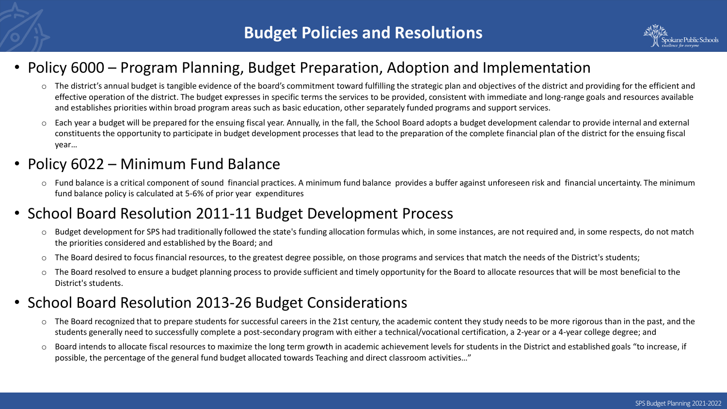

#### • Policy 6000 – Program Planning, Budget Preparation, Adoption and Implementation

- o The district's annual budget is tangible evidence of the board's commitment toward fulfilling the strategic plan and objectives of the district and providing for the efficient and effective operation of the district. The budget expresses in specific terms the services to be provided, consistent with immediate and long-range goals and resources available and establishes priorities within broad program areas such as basic education, other separately funded programs and support services.
- o Each year a budget will be prepared for the ensuing fiscal year. Annually, in the fall, the School Board adopts a budget development calendar to provide internal and external constituents the opportunity to participate in budget development processes that lead to the preparation of the complete financial plan of the district for the ensuing fiscal year…

#### • Policy 6022 – Minimum Fund Balance

 $\circ$  Fund balance is a critical component of sound financial practices. A minimum fund balance provides a buffer against unforeseen risk and financial uncertainty. The minimum fund balance policy is calculated at 5-6% of prior year expenditures

#### • School Board Resolution 2011-11 Budget Development Process

- o Budget development for SPS had traditionally followed the state's funding allocation formulas which, in some instances, are not required and, in some respects, do not match the priorities considered and established by the Board; and
- o The Board desired to focus financial resources, to the greatest degree possible, on those programs and services that match the needs of the District's students;
- o The Board resolved to ensure a budget planning process to provide sufficient and timely opportunity for the Board to allocate resources that will be most beneficial to the District's students.

#### • School Board Resolution 2013-26 Budget Considerations

- o The Board recognized that to prepare students for successful careers in the 21st century, the academic content they study needs to be more rigorous than in the past, and the students generally need to successfully complete a post-secondary program with either a technical/vocational certification, a 2-year or a 4-year college degree; and
- o Board intends to allocate fiscal resources to maximize the long term growth in academic achievement levels for students in the District and established goals "to increase, if possible, the percentage of the general fund budget allocated towards Teaching and direct classroom activities…"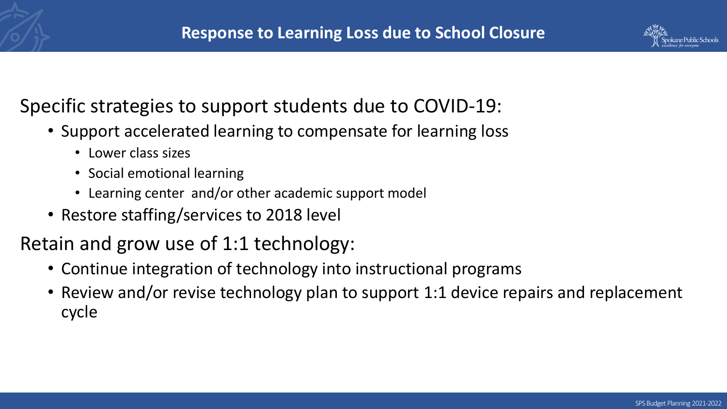

## Specific strategies to support students due to COVID-19:

- Support accelerated learning to compensate for learning loss
	- Lower class sizes
	- Social emotional learning
	- Learning center and/or other academic support model
- Restore staffing/services to 2018 level

Retain and grow use of 1:1 technology:

- Continue integration of technology into instructional programs
- Review and/or revise technology plan to support 1:1 device repairs and replacement cycle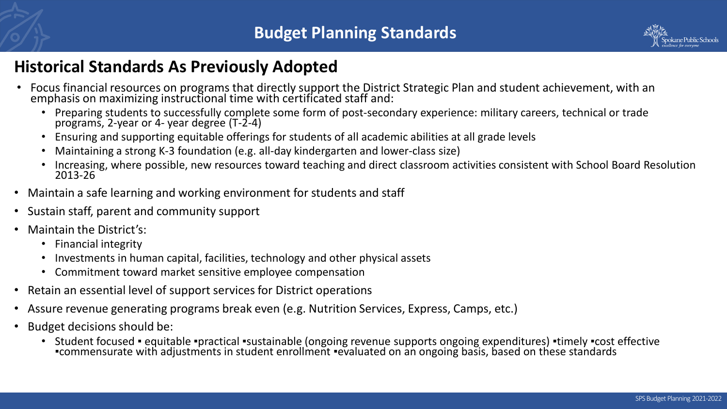

#### **Historical Standards As Previously Adopted**

- Focus financial resources on programs that directly support the District Strategic Plan and student achievement, with an emphasis on maximizing instructional time with certificated staff and:
	- Preparing students to successfully complete some form of post-secondary experience: military careers, technical or trade programs, 2-year or 4- year degree (T-2-4)
	- Ensuring and supporting equitable offerings for students of all academic abilities at all grade levels
	- Maintaining a strong K-3 foundation (e.g. all-day kindergarten and lower-class size)
	- Increasing, where possible, new resources toward teaching and direct classroom activities consistent with School Board Resolution 2013-26
- Maintain a safe learning and working environment for students and staff
- Sustain staff, parent and community support
- Maintain the District's:
	- Financial integrity
	- Investments in human capital, facilities, technology and other physical assets
	- Commitment toward market sensitive employee compensation
- Retain an essential level of support services for District operations
- Assure revenue generating programs break even (e.g. Nutrition Services, Express, Camps, etc.)
- Budget decisions should be:
	- Student focused equitable •practical •sustainable (ongoing revenue supports ongoing expenditures) •timely •cost effective<br>•commensurate with adjustments in student enrollment •evaluated on an ongoing basis, based on th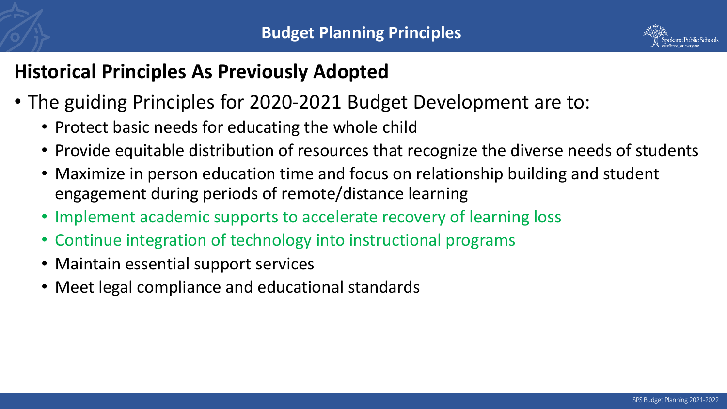

## **Historical Principles As Previously Adopted**

- The guiding Principles for 2020-2021 Budget Development are to:
	- Protect basic needs for educating the whole child
	- Provide equitable distribution of resources that recognize the diverse needs of students
	- Maximize in person education time and focus on relationship building and student engagement during periods of remote/distance learning
	- Implement academic supports to accelerate recovery of learning loss
	- Continue integration of technology into instructional programs
	- Maintain essential support services
	- Meet legal compliance and educational standards